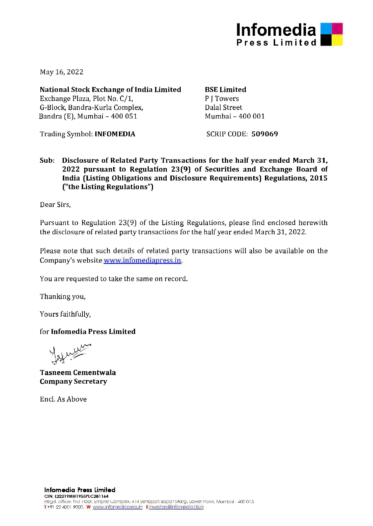

May 16, 2022

**National Stock Exchange of India Limited**  Exchange Plaza, Plot No. C/1, G-Block, Bandra-Kurla Complex, Bandra (E), Mumbai - 400 051

**BSE Limited** 

P **J** Towers Dalal Street Mumbai - 400 001

Trading Symbol: **INFOMEDIA** 

SCRIP CODE: **509069** 

**Sub: Disclosure of Related Party Transactions for the half year ended March 31, 2022 pursuant to Regulation 23(9) of Securities and Exchange Board of India (Listing Obligations and Disclosure Requirements) Regulations, 2015 ("the Listing Regulations")** 

Dear Sirs,

Pursuant to Regulation 23(9) of the Listing Regulations, please find enclosed herewith the disclosure of related party transactions for the half year ended March 31, 2022.

Please note that such details of related party transactions will also be available on the Company's website www.infomediapress.in.

You are requested to take the same on record.

Thanking you,

Yours faithfully,

for **lnfomedia Press Limited** 

**Tasneem Cementwala Company Secretary** 

Encl. As Above